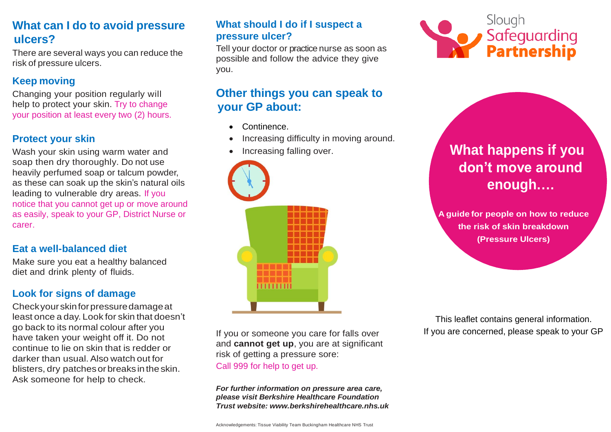# **What can I do to avoid pressure ulcers?**

There are several ways you can reduce the risk of pressure ulcers.

#### **Keep moving**

Changing your position regularly will help to protect your skin. Try to change your position at least every two (2) hours.

#### **Protect your skin**

Wash your skin using warm water and soap then dry thoroughly. Do not use heavily perfumed soap or talcum powder, as these can soak up the skin's natural oils leading to vulnerable dry areas. If you notice that you cannot get up or move around as easily, speak to your GP, District Nurse or carer.

#### **Eat a well-balanced diet**

Make sure you eat a healthy balanced diet and drink plenty of fluids.

## **Look for signs of damage**

Checkyourskinforpressuredamageat least once a day. Look for skin that doesn't go back to its normal colour after you have taken your weight off it. Do not continue to lie on skin that is redder or darker than usual.Also watch out for blisters, dry patchesor breaks in the skin. Ask someone for help to check.

#### **What should I do if I suspect a pressure ulcer?**

Tell your doctor or practice nurse as soon as possible and follow the advice they give you.

# **Other things you can speak to your GP about:**

- Continence.
- Increasing difficulty in moving around.
- Increasing falling over.



If you or someone you care for falls over and **cannot get up**, you are at significant risk of getting a pressure sore: Call 999 for help to get up.

*For further information on pressure area care, please visit Berkshire Healthcare Foundation Trust website: www.berkshirehealthcare.nhs.uk*



# **What happens if you don't move around enough….**

**A guide for people on how to reduce the risk of skin breakdown (Pressure Ulcers)**

This leaflet contains general information. If you are concerned, please speak to your GP